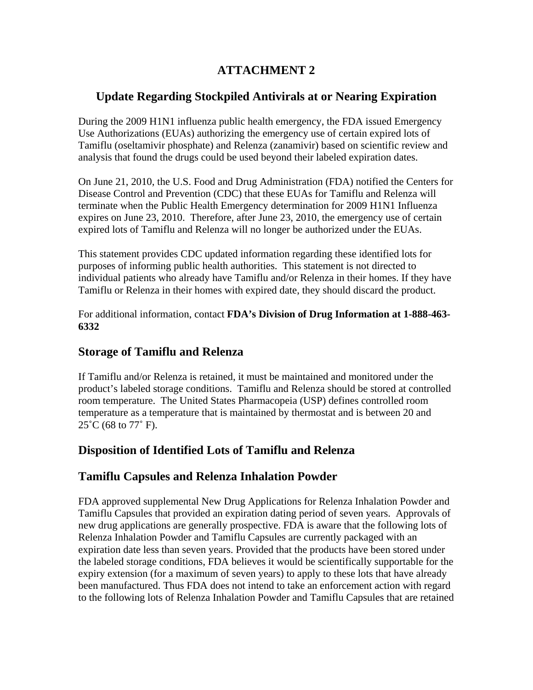# **ATTACHMENT 2**

## **Update Regarding Stockpiled Antivirals at or Nearing Expiration**

During the 2009 H1N1 influenza public health emergency, the FDA issued Emergency Use Authorizations (EUAs) authorizing the emergency use of certain expired lots of Tamiflu (oseltamivir phosphate) and Relenza (zanamivir) based on scientific review and analysis that found the drugs could be used beyond their labeled expiration dates.

On June 21, 2010, the U.S. Food and Drug Administration (FDA) notified the Centers for Disease Control and Prevention (CDC) that these EUAs for Tamiflu and Relenza will terminate when the Public Health Emergency determination for 2009 H1N1 Influenza expires on June 23, 2010. Therefore, after June 23, 2010, the emergency use of certain expired lots of Tamiflu and Relenza will no longer be authorized under the EUAs.

This statement provides CDC updated information regarding these identified lots for purposes of informing public health authorities. This statement is not directed to individual patients who already have Tamiflu and/or Relenza in their homes. If they have Tamiflu or Relenza in their homes with expired date, they should discard the product.

For additional information, contact **FDA's Division of Drug Information at 1-888-463- 6332**

## **Storage of Tamiflu and Relenza**

If Tamiflu and/or Relenza is retained, it must be maintained and monitored under the product's labeled storage conditions. Tamiflu and Relenza should be stored at controlled room temperature. The United States Pharmacopeia (USP) defines controlled room temperature as a temperature that is maintained by thermostat and is between 20 and  $25^{\circ}$ C (68 to 77 $^{\circ}$  F).

## **Disposition of Identified Lots of Tamiflu and Relenza**

## **Tamiflu Capsules and Relenza Inhalation Powder**

FDA approved supplemental New Drug Applications for Relenza Inhalation Powder and Tamiflu Capsules that provided an expiration dating period of seven years. Approvals of new drug applications are generally prospective. FDA is aware that the following lots of Relenza Inhalation Powder and Tamiflu Capsules are currently packaged with an expiration date less than seven years. Provided that the products have been stored under the labeled storage conditions, FDA believes it would be scientifically supportable for the expiry extension (for a maximum of seven years) to apply to these lots that have already been manufactured. Thus FDA does not intend to take an enforcement action with regard to the following lots of Relenza Inhalation Powder and Tamiflu Capsules that are retained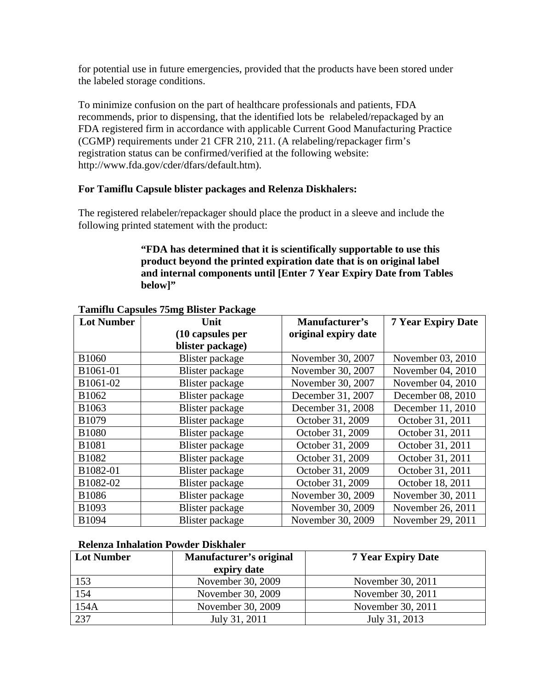for potential use in future emergencies, provided that the products have been stored under the labeled storage conditions.

To minimize confusion on the part of healthcare professionals and patients, FDA recommends, prior to dispensing, that the identified lots be relabeled/repackaged by an FDA registered firm in accordance with applicable Current Good Manufacturing Practice (CGMP) requirements under 21 CFR 210, 211. (A relabeling/repackager firm's registration status can be confirmed/verified at the following website: http://www.fda.gov/cder/dfars/default.htm).

#### **For Tamiflu Capsule blister packages and Relenza Diskhalers:**

The registered relabeler/repackager should place the product in a sleeve and include the following printed statement with the product:

#### **"FDA has determined that it is scientifically supportable to use this product beyond the printed expiration date that is on original label and internal components until [Enter 7 Year Expiry Date from Tables below]"**

| <b>Lot Number</b> | Unit             | Manufacturer's       | <b>7 Year Expiry Date</b> |
|-------------------|------------------|----------------------|---------------------------|
|                   | (10 capsules per | original expiry date |                           |
|                   | blister package) |                      |                           |
| <b>B1060</b>      | Blister package  | November 30, 2007    | November 03, 2010         |
| B1061-01          | Blister package  | November 30, 2007    | November 04, 2010         |
| B1061-02          | Blister package  | November 30, 2007    | November 04, 2010         |
| B1062             | Blister package  | December 31, 2007    | December 08, 2010         |
| B1063             | Blister package  | December 31, 2008    | December 11, 2010         |
| B1079             | Blister package  | October 31, 2009     | October 31, 2011          |
| <b>B1080</b>      | Blister package  | October 31, 2009     | October 31, 2011          |
| <b>B1081</b>      | Blister package  | October 31, 2009     | October 31, 2011          |
| B1082             | Blister package  | October 31, 2009     | October 31, 2011          |
| B1082-01          | Blister package  | October 31, 2009     | October 31, 2011          |
| B1082-02          | Blister package  | October 31, 2009     | October 18, 2011          |
| <b>B1086</b>      | Blister package  | November 30, 2009    | November 30, 2011         |
| B1093             | Blister package  | November 30, 2009    | November 26, 2011         |
| B1094             | Blister package  | November 30, 2009    | November 29, 2011         |

#### **Tamiflu Capsules 75mg Blister Package**

#### **Relenza Inhalation Powder Diskhaler**

| <b>Lot Number</b> | Manufacturer's original | <b>7 Year Expiry Date</b> |
|-------------------|-------------------------|---------------------------|
|                   | expiry date             |                           |
| 153               | November 30, 2009       | November 30, 2011         |
| 154               | November 30, 2009       | November 30, 2011         |
| 154A              | November 30, 2009       | November 30, 2011         |
| 237               | July 31, 2011           | July 31, 2013             |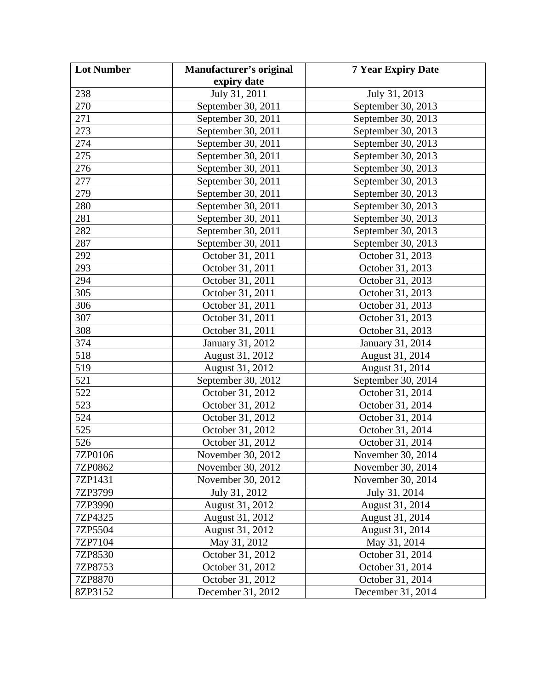| <b>Lot Number</b> | Manufacturer's original | <b>7 Year Expiry Date</b> |
|-------------------|-------------------------|---------------------------|
|                   | expiry date             |                           |
| 238               | July 31, 2011           | July 31, 2013             |
| 270               | September 30, 2011      | September 30, 2013        |
| 271               | September 30, 2011      | September 30, 2013        |
| 273               | September 30, 2011      | September 30, 2013        |
| 274               | September 30, 2011      | September 30, 2013        |
| 275               | September 30, 2011      | September 30, 2013        |
| 276               | September 30, 2011      | September 30, 2013        |
| 277               | September 30, 2011      | September 30, 2013        |
| 279               | September 30, 2011      | September 30, 2013        |
| 280               | September 30, 2011      | September 30, 2013        |
| 281               | September 30, 2011      | September 30, 2013        |
| 282               | September 30, 2011      | September 30, 2013        |
| 287               | September 30, 2011      | September 30, 2013        |
| 292               | October 31, 2011        | October 31, 2013          |
| 293               | October 31, 2011        | October 31, 2013          |
| 294               | October 31, 2011        | October 31, 2013          |
| 305               | October 31, 2011        | October 31, 2013          |
| 306               | October 31, 2011        | October 31, 2013          |
| 307               | October 31, 2011        | October 31, 2013          |
| 308               | October 31, 2011        | October 31, 2013          |
| 374               | January 31, 2012        | January 31, 2014          |
| 518               | August 31, 2012         | August 31, 2014           |
| 519               | August 31, 2012         | August 31, 2014           |
| 521               | September 30, 2012      | September 30, 2014        |
| 522               | October 31, 2012        | October 31, 2014          |
| 523               | October 31, 2012        | October 31, 2014          |
| 524               | October 31, 2012        | October 31, 2014          |
| 525               | October 31, 2012        | October 31, 2014          |
| 526               | October 31, 2012        | October 31, 2014          |
| 7ZP0106           | November 30, 2012       | November 30, 2014         |
| 7ZP0862           | November 30, 2012       | November 30, 2014         |
| 7ZP1431           | November 30, 2012       | November 30, 2014         |
| 7ZP3799           | July 31, 2012           | July 31, 2014             |
| 7ZP3990           | August 31, 2012         | August 31, 2014           |
| 7ZP4325           | August 31, 2012         | August 31, 2014           |
| 7ZP5504           | August 31, 2012         | August 31, 2014           |
| 7ZP7104           | May 31, 2012            | May 31, 2014              |
| 7ZP8530           | October 31, 2012        | October 31, 2014          |
| 7ZP8753           | October 31, 2012        | October 31, 2014          |
| 7ZP8870           | October 31, 2012        | October 31, 2014          |
| 8ZP3152           | December 31, 2012       | December 31, 2014         |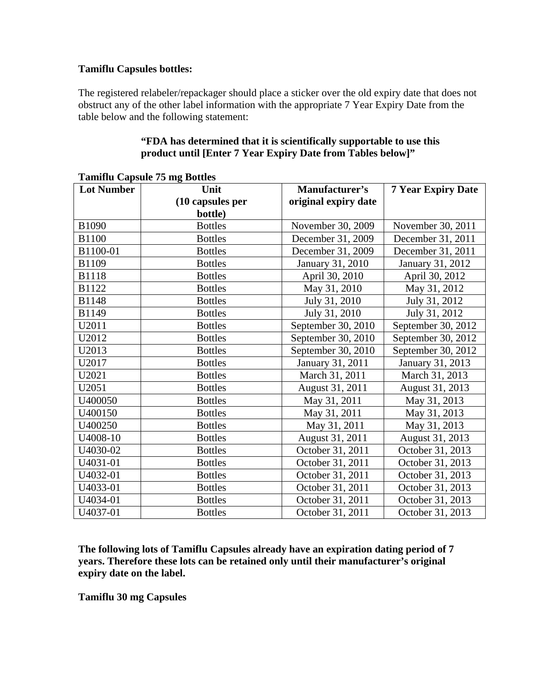#### **Tamiflu Capsules bottles:**

The registered relabeler/repackager should place a sticker over the old expiry date that does not obstruct any of the other label information with the appropriate 7 Year Expiry Date from the table below and the following statement:

#### **"FDA has determined that it is scientifically supportable to use this product until [Enter 7 Year Expiry Date from Tables below]"**

| <b>Lot Number</b> | Unit             | <b>Manufacturer's</b> | <b>7 Year Expiry Date</b> |
|-------------------|------------------|-----------------------|---------------------------|
|                   | (10 capsules per | original expiry date  |                           |
|                   | bottle)          |                       |                           |
| B1090             | <b>Bottles</b>   | November 30, 2009     | November 30, 2011         |
| <b>B1100</b>      | <b>Bottles</b>   | December 31, 2009     | December 31, 2011         |
| B1100-01          | <b>Bottles</b>   | December 31, 2009     | December 31, 2011         |
| B1109             | <b>Bottles</b>   | January 31, 2010      | January 31, 2012          |
| <b>B1118</b>      | <b>Bottles</b>   | April 30, 2010        | April 30, 2012            |
| B1122             | <b>Bottles</b>   | May 31, 2010          | May 31, 2012              |
| <b>B1148</b>      | <b>Bottles</b>   | July 31, 2010         | July 31, 2012             |
| B1149             | <b>Bottles</b>   | July 31, 2010         | July 31, 2012             |
| U2011             | <b>Bottles</b>   | September 30, 2010    | September 30, 2012        |
| U2012             | <b>Bottles</b>   | September 30, 2010    | September 30, 2012        |
| U2013             | <b>Bottles</b>   | September 30, 2010    | September 30, 2012        |
| U2017             | <b>Bottles</b>   | January 31, 2011      | January 31, 2013          |
| U2021             | <b>Bottles</b>   | March 31, 2011        | March 31, 2013            |
| U2051             | <b>Bottles</b>   | August 31, 2011       | August 31, 2013           |
| U400050           | <b>Bottles</b>   | May 31, 2011          | May 31, 2013              |
| U400150           | <b>Bottles</b>   | May 31, 2011          | May 31, 2013              |
| U400250           | <b>Bottles</b>   | May 31, 2011          | May 31, 2013              |
| U4008-10          | <b>Bottles</b>   | August 31, 2011       | August 31, 2013           |
| U4030-02          | <b>Bottles</b>   | October 31, 2011      | October 31, 2013          |
| U4031-01          | <b>Bottles</b>   | October 31, 2011      | October 31, 2013          |
| U4032-01          | <b>Bottles</b>   | October 31, 2011      | October 31, 2013          |
| U4033-01          | <b>Bottles</b>   | October 31, 2011      | October 31, 2013          |
| U4034-01          | <b>Bottles</b>   | October 31, 2011      | October 31, 2013          |
| U4037-01          | <b>Bottles</b>   | October 31, 2011      | October 31, 2013          |

**Tamiflu Capsule 75 mg Bottles** 

**The following lots of Tamiflu Capsules already have an expiration dating period of 7 years. Therefore these lots can be retained only until their manufacturer's original expiry date on the label.** 

**Tamiflu 30 mg Capsules**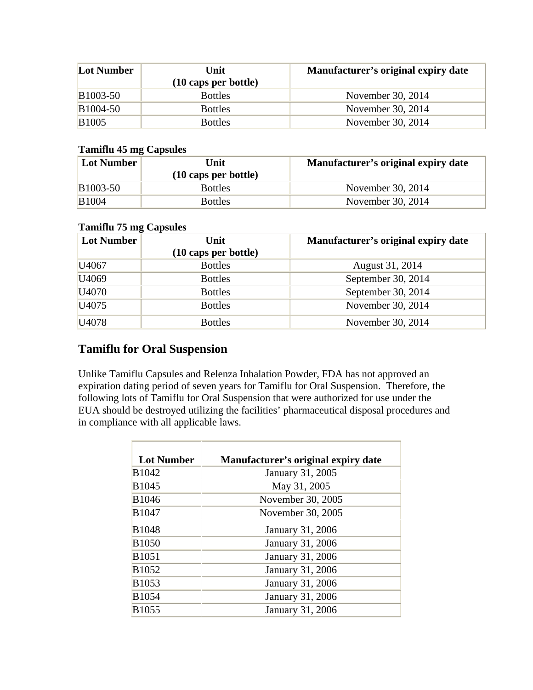| <b>Lot Number</b>     | Unit<br>$(10 \text{ caps per bottle})$ | Manufacturer's original expiry date |
|-----------------------|----------------------------------------|-------------------------------------|
| B <sub>1003</sub> -50 | <b>Bottles</b>                         | November 30, 2014                   |
| B <sub>1004</sub> -50 | <b>Bottles</b>                         | November 30, 2014                   |
| <b>B1005</b>          | <b>Bottles</b>                         | November 30, 2014                   |

### **Tamiflu 45 mg Capsules**

| <b>Lot Number</b> | Unit                           | Manufacturer's original expiry date |
|-------------------|--------------------------------|-------------------------------------|
|                   | $(10 \text{ caps per bottle})$ |                                     |
| <b>B</b> 1003-50  | <b>Bottles</b>                 | November 30, 2014                   |
| <b>B</b> 1004     | <b>Bottles</b>                 | November 30, 2014                   |

### **Tamiflu 75 mg Capsules**

| <b>Lot Number</b> | Unit<br>(10 caps per bottle) | Manufacturer's original expiry date |
|-------------------|------------------------------|-------------------------------------|
| U4067             | <b>Bottles</b>               | August 31, 2014                     |
| U <sub>4069</sub> | <b>Bottles</b>               | September 30, 2014                  |
| U <sub>4070</sub> | <b>Bottles</b>               | September 30, 2014                  |
| U <sub>4075</sub> | <b>Bottles</b>               | November 30, 2014                   |
| U <sub>4078</sub> | <b>Bottles</b>               | November 30, 2014                   |

# **Tamiflu for Oral Suspension**

Unlike Tamiflu Capsules and Relenza Inhalation Powder, FDA has not approved an expiration dating period of seven years for Tamiflu for Oral Suspension. Therefore, the following lots of Tamiflu for Oral Suspension that were authorized for use under the EUA should be destroyed utilizing the facilities' pharmaceutical disposal procedures and in compliance with all applicable laws.

| <b>Lot Number</b> | Manufacturer's original expiry date |
|-------------------|-------------------------------------|
| B1042             | January 31, 2005                    |
| B1045             | May 31, 2005                        |
| B1046             | November 30, 2005                   |
| B1047             | November 30, 2005                   |
| <b>B1048</b>      | January 31, 2006                    |
| <b>B1050</b>      | January 31, 2006                    |
| <b>B</b> 1051     | January 31, 2006                    |
| B1052             | January 31, 2006                    |
| B1053             | January 31, 2006                    |
| <b>B1054</b>      | January 31, 2006                    |
| <b>B</b> 1055     | January 31, 2006                    |